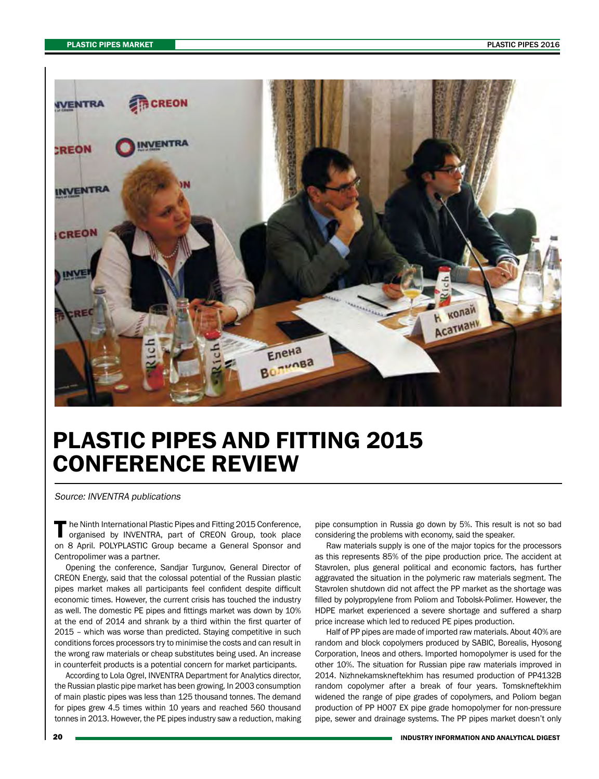

## PLASTIC PIPES AND FITTING 2015 CONFERENCE REVIEW

Source: INVENTRA publications

The Ninth International Plastic Pipes and Fitting 2015 Conference,<br>
organised by INVENTRA, part of CREON Group, took place on 8 April. POLYPLASTIC Group became a General Sponsor and Centropolimer was a partner.

Opening the conference, Sandjar Turgunov, General Director of CREON Energy, said that the colossal potential of the Russian plastic pipes market makes all participants feel confident despite difficult economic times. However, the current crisis has touched the industry as well. The domestic PE pipes and fittings market was down by 10% at the end of 2014 and shrank by a third within the first quarter of 2015 – which was worse than predicted. Staying competitive in such conditions forces processors try to minimise the costs and can result in the wrong raw materials or cheap substitutes being used. An increase in counterfeit products is a potential concern for market participants.

According to Lola Ogrel, INVENTRA Department for Analytics director, the Russian plastic pipe market has been growing. In 2003 consumption of main plastic pipes was less than 125 thousand tonnes. The demand for pipes grew 4.5 times within 10 years and reached 560 thousand tonnes in 2013. However, the PE pipes industry saw a reduction, making pipe consumption in Russia go down by 5%. This result is not so bad considering the problems with economy, said the speaker.

Raw materials supply is one of the major topics for the processors as this represents 85% of the pipe production price. The accident at Stavrolen, plus general political and economic factors, has further aggravated the situation in the polymeric raw materials segment. The Stavrolen shutdown did not affect the PP market as the shortage was filled by polypropylene from Poliom and Tobolsk-Polimer. However, the HDPE market experienced a severe shortage and suffered a sharp price increase which led to reduced PE pipes production.

Half of PP pipes are made of imported raw materials. About 40% are random and block copolymers produced by SABIC, Borealis, Hyosong Corporation, Ineos and others. Imported homopolymer is used for the other 10%. The situation for Russian pipe raw materials improved in 2014. Nizhnekamskneftekhim has resumed production of РР4132В random copolymer after a break of four years. Tomskneftekhim widened the range of pipe grades of copolymers, and Poliom began production of PP H007 EX pipe grade homopolymer for non-pressure pipe, sewer and drainage systems. The PP pipes market doesn't only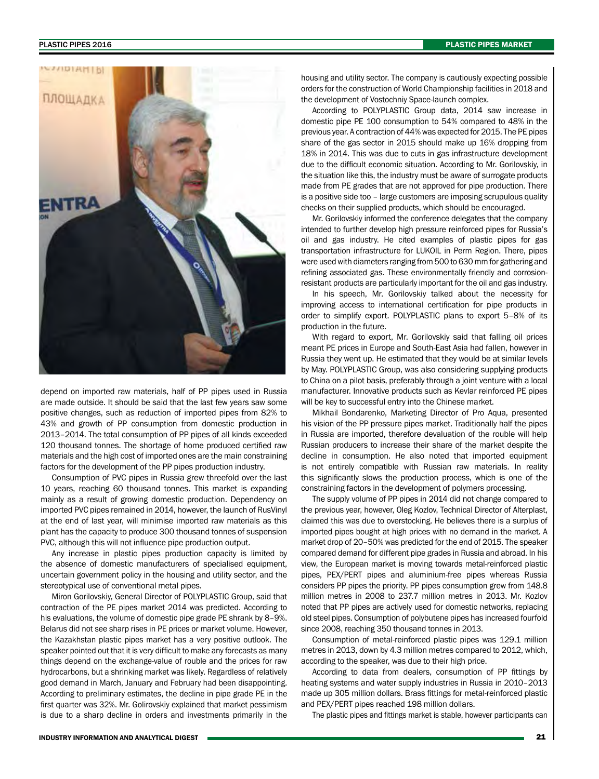## PLASTIC PIPES 2016 PLASTIC PIPES MARKET



depend on imported raw materials, half of PP pipes used in Russia are made outside. It should be said that the last few years saw some positive changes, such as reduction of imported pipes from 82% to 43% and growth of PP consumption from domestic production in 2013–2014. The total consumption of PP pipes of all kinds exceeded 120 thousand tonnes. The shortage of home produced certified raw materials and the high cost of imported ones are the main constraining factors for the development of the PP pipes production industry.

Consumption of PVC pipes in Russia grew threefold over the last 10 years, reaching 60 thousand tonnes. This market is expanding mainly as a result of growing domestic production. Dependency on imported PVC pipes remained in 2014, however, the launch of RusVinyl at the end of last year, will minimise imported raw materials as this plant has the capacity to produce 300 thousand tonnes of suspension PVC, although this will not influence pipe production output.

Any increase in plastic pipes production capacity is limited by the absence of domestic manufacturers of specialised equipment, uncertain government policy in the housing and utility sector, and the stereotypical use of conventional metal pipes.

Miron Gorilovskiy, General Director of POLYPLASTIC Group, said that contraction of the PE pipes market 2014 was predicted. According to his evaluations, the volume of domestic pipe grade PE shrank by 8–9%. Belarus did not see sharp rises in PE prices or market volume. However, the Kazakhstan plastic pipes market has a very positive outlook. The speaker pointed out that it is very difficult to make any forecasts as many things depend on the exchange-value of rouble and the prices for raw hydrocarbons, but a shrinking market was likely. Regardless of relatively good demand in March, January and February had been disappointing. According to preliminary estimates, the decline in pipe grade PE in the first quarter was 32%. Mr. Golirovskiy explained that market pessimism is due to a sharp decline in orders and investments primarily in the

housing and utility sector. The company is cautiously expecting possible orders for the construction of World Championship facilities in 2018 and the development of Vostochniy Space-launch complex.

According to POLYPLASTIC Group data, 2014 saw increase in domestic pipe PE 100 consumption to 54% compared to 48% in the previous year. A contraction of 44% was expected for 2015. The PE pipes share of the gas sector in 2015 should make up 16% dropping from 18% in 2014. This was due to cuts in gas infrastructure development due to the difficult economic situation. According to Mr. Gorilovskiy, in the situation like this, the industry must be aware of surrogate products made from PE grades that are not approved for pipe production. There is a positive side too – large customers are imposing scrupulous quality checks on their supplied products, which should be encouraged.

Mr. Gorilovskiy informed the conference delegates that the company intended to further develop high pressure reinforced pipes for Russia's oil and gas industry. He cited examples of plastic pipes for gas transportation infrastructure for LUKOIL in Perm Region. There, pipes were used with diameters ranging from 500 to 630 mm for gathering and refining associated gas. These environmentally friendly and corrosionresistant products are particularly important for the oil and gas industry.

In his speech, Mr. Gorilovskiy talked about the necessity for improving access to international certification for pipe products in order to simplify export. POLYPLASTIC plans to export 5–8% of its production in the future.

With regard to export, Mr. Gorilovskiy said that falling oil prices meant PE prices in Europe and South-East Asia had fallen, however in Russia they went up. He estimated that they would be at similar levels by May. POLYPLASTIC Group, was also considering supplying products to China on a pilot basis, preferably through a joint venture with a local manufacturer. Innovative products such as Kevlar reinforced PE pipes will be key to successful entry into the Chinese market.

Mikhail Bondarenko, Marketing Director of Pro Aqua, presented his vision of the PP pressure pipes market. Traditionally half the pipes in Russia are imported, therefore devaluation of the rouble will help Russian producers to increase their share of the market despite the decline in consumption. He also noted that imported equipment is not entirely compatible with Russian raw materials. In reality this significantly slows the production process, which is one of the constraining factors in the development of polymers processing.

The supply volume of PP pipes in 2014 did not change compared to the previous year, however, Oleg Kozlov, Technical Director of Alterplast, claimed this was due to overstocking. He believes there is a surplus of imported pipes bought at high prices with no demand in the market. A market drop of 20–50% was predicted for the end of 2015. The speaker compared demand for different pipe grades in Russia and abroad. In his view, the European market is moving towards metal-reinforced plastic pipes, PEX/PERT pipes and aluminium-free pipes whereas Russia considers PP pipes the priority. PP pipes consumption grew from 148.8 million metres in 2008 to 237.7 million metres in 2013. Mr. Kozlov noted that PP pipes are actively used for domestic networks, replacing old steel pipes. Consumption of polybutene pipes has increased fourfold since 2008, reaching 350 thousand tonnes in 2013.

Consumption of metal-reinforced plastic pipes was 129.1 million metres in 2013, down by 4.3 million metres compared to 2012, which, according to the speaker, was due to their high price.

According to data from dealers, consumption of PP fittings by heating systems and water supply industries in Russia in 2010–2013 made up 305 million dollars. Brass fittings for metal-reinforced plastic and PEX/PERT pipes reached 198 million dollars.

The plastic pipes and fittings market is stable, however participants can